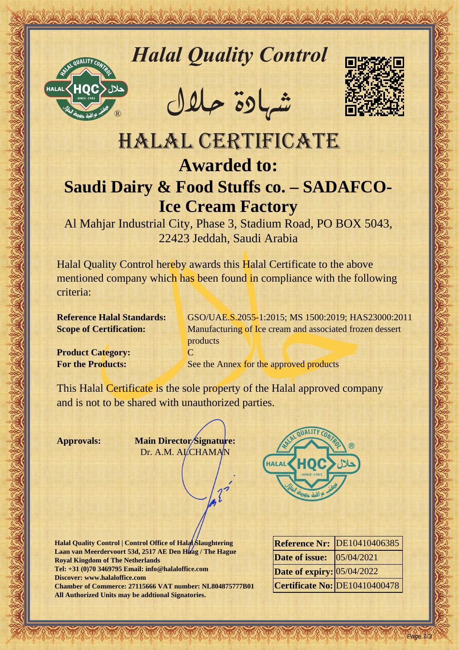

# *Halal Quality Control*

REACTOR AND THE REAL PROPERTY OF THE REAL PROPERTY

�شهادة حالل



# Hallal Quality Control engines<br>
HALAL CERTIFICATE<br>
HALAL CERTIFICATE<br>
Saudi Dairy & Food Stuffs co. - SADAFCO-<br>
lee Cream Factory<br>
Al Mohiar Industrial (19, Plane & Studies Rediction Control and Control of the Stuff of the HALAL CERTIFICATE **Awarded to: Saudi Dairy & Food Stuffs co. – SADAFCO-Ice Cream Factory**

Al Mahjar Industrial City, Phase 3, Stadium Road, PO BOX 5043, 22423 Jeddah, Saudi Arabia

Halal Quality Control hereby awards this Halal Certificate to the above mentioned company which has been found in compliance with the following criteria:

**Reference Halal Standards:** GSO/UAE.S.2055-1:2015; MS 1500:2019; HAS23000:2011 **Scope of Certification:** Manufacturing of Ice cream and associated frozen dessert products

**Product Category:** C

**For the Products:** See the Annex for the approved products

This Halal Certificate is the sole property of the Halal approved company and is not to be shared with unauthorized parties.

**Approvals: Main Director Signature:** Dr. A.M. ALCHAMAN

**Halal Quality Control | Control Office of Halal Slaughtering Laan van Meerdervoort 53d, 2517 AE Den Haag / The Hague Royal Kingdom of The Netherlands Tel: +31 (0)70 3469795 Email: info@halaloffice.com Discover: www.halaloffice.com Chamber of Commerce: 27115666 VAT number: NL804875777B01 All Authorized Units may be addtional Signatories.**

|                                  | <b>Reference Nr: DE10410406385</b> |
|----------------------------------|------------------------------------|
| <b>Date of issue:</b> 05/04/2021 |                                    |
| Date of expiry: 05/04/2022       |                                    |
|                                  | Certificate No: DE10410400478      |

Page 1/3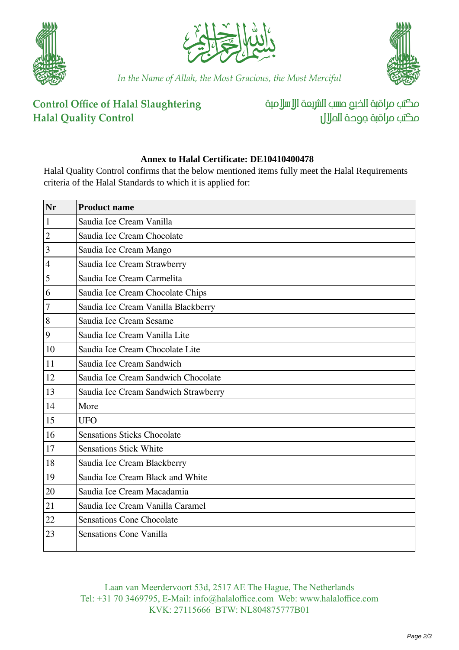





*In the Name of Allah, the Most Gracious, the Most Merciful*

## **Control Office of Halal Slaughtering Halal Quality Control**

مكتب مراقبة الذبم صسب الشريعة الإسلامية مكتب مراقبة جوحة الملال

### **Annex to Halal Certificate: DE10410400478**

Halal Quality Control confirms that the below mentioned items fully meet the Halal Requirements criteria of the Halal Standards to which it is applied for:

| Nr               | <b>Product name</b>                  |
|------------------|--------------------------------------|
| $\mathbf{1}$     | Saudia Ice Cream Vanilla             |
| $\overline{2}$   | Saudia Ice Cream Chocolate           |
| 3                | Saudia Ice Cream Mango               |
| $\overline{4}$   | Saudia Ice Cream Strawberry          |
| 5                | Saudia Ice Cream Carmelita           |
| 6                | Saudia Ice Cream Chocolate Chips     |
| $\boldsymbol{7}$ | Saudia Ice Cream Vanilla Blackberry  |
| 8                | Saudia Ice Cream Sesame              |
| $\overline{9}$   | Saudia Ice Cream Vanilla Lite        |
| 10               | Saudia Ice Cream Chocolate Lite      |
| 11               | Saudia Ice Cream Sandwich            |
| 12               | Saudia Ice Cream Sandwich Chocolate  |
| 13               | Saudia Ice Cream Sandwich Strawberry |
| 14               | More                                 |
| 15               | <b>UFO</b>                           |
| 16               | <b>Sensations Sticks Chocolate</b>   |
| 17               | <b>Sensations Stick White</b>        |
| 18               | Saudia Ice Cream Blackberry          |
| 19               | Saudia Ice Cream Black and White     |
| 20               | Saudia Ice Cream Macadamia           |
| 21               | Saudia Ice Cream Vanilla Caramel     |
| 22               | <b>Sensations Cone Chocolate</b>     |
| 23               | <b>Sensations Cone Vanilla</b>       |
|                  |                                      |

Laan van Meerdervoort 53d, 2517 AE The Hague, The Netherlands Tel: +31 70 3469795, E-Mail: info@halaloffice.com Web: www.halaloffice.com KVK: 27115666 BTW: NL804875777B01